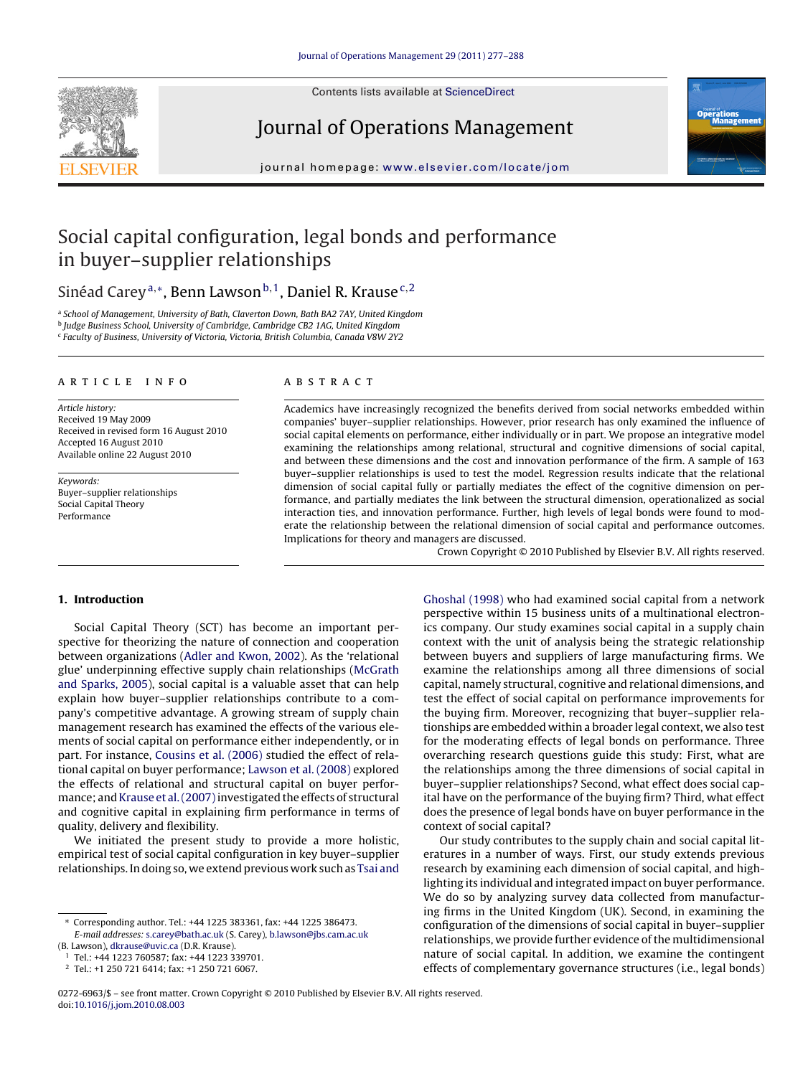Contents lists available at [ScienceDirect](http://www.sciencedirect.com/science/journal/02726963)

## Journal of Operations Management



journal homepage: [www.elsevier.com/locate/jom](http://www.elsevier.com/locate/jom)

## Social capital configuration, legal bonds and performance in buyer–supplier relationships

### Sinéad Carey<sup>a,∗</sup>, Benn Lawson<sup>b,1</sup>, Daniel R. Krause<sup>c,2</sup>

<sup>a</sup> School of Management, University of Bath, Claverton Down, Bath BA2 7AY, United Kingdom <sup>b</sup> Judge Business School, University of Cambridge, Cambridge CB2 1AG, United Kingdom <sup>c</sup> Faculty of Business, University of Victoria, Victoria, British Columbia, Canada V8W 2Y2

#### article info

Article history: Received 19 May 2009 Received in revised form 16 August 2010 Accepted 16 August 2010 Available online 22 August 2010

Keywords: Buyer–supplier relationships Social Capital Theory Performance

#### **ABSTRACT**

Academics have increasingly recognized the benefits derived from social networks embedded within companies' buyer–supplier relationships. However, prior research has only examined the influence of social capital elements on performance, either individually or in part. We propose an integrative model examining the relationships among relational, structural and cognitive dimensions of social capital, and between these dimensions and the cost and innovation performance of the firm. A sample of 163 buyer–supplier relationships is used to test the model. Regression results indicate that the relational dimension of social capital fully or partially mediates the effect of the cognitive dimension on performance, and partially mediates the link between the structural dimension, operationalized as social interaction ties, and innovation performance. Further, high levels of legal bonds were found to moderate the relationship between the relational dimension of social capital and performance outcomes. Implications for theory and managers are discussed.

Crown Copyright © 2010 Published by Elsevier B.V. All rights reserved.

#### **1. Introduction**

Social Capital Theory (SCT) has become an important perspective for theorizing the nature of connection and cooperation between organizations ([Adler and Kwon, 2002\).](#page--1-0) As the 'relational glue' underpinning effective supply chain relationships ([McGrath](#page--1-0) [and Sparks, 2005\),](#page--1-0) social capital is a valuable asset that can help explain how buyer–supplier relationships contribute to a company's competitive advantage. A growing stream of supply chain management research has examined the effects of the various elements of social capital on performance either independently, or in part. For instance, [Cousins et al. \(2006\)](#page--1-0) studied the effect of relational capital on buyer performance; [Lawson et al. \(2008\)](#page--1-0) explored the effects of relational and structural capital on buyer performance; and Krause et al. (2007) investigated the effects of structural and cognitive capital in explaining firm performance in terms of quality, delivery and flexibility.

We initiated the present study to provide a more holistic, empirical test of social capital configuration in key buyer–supplier relationships. In doing so, we extend previous work such as [Tsai and](#page--1-0) [Ghoshal \(1998\)](#page--1-0) who had examined social capital from a network perspective within 15 business units of a multinational electronics company. Our study examines social capital in a supply chain context with the unit of analysis being the strategic relationship between buyers and suppliers of large manufacturing firms. We examine the relationships among all three dimensions of social capital, namely structural, cognitive and relational dimensions, and test the effect of social capital on performance improvements for the buying firm. Moreover, recognizing that buyer–supplier relationships are embedded within a broader legal context, we also test for the moderating effects of legal bonds on performance. Three overarching research questions guide this study: First, what are the relationships among the three dimensions of social capital in buyer–supplier relationships? Second, what effect does social capital have on the performance of the buying firm? Third, what effect does the presence of legal bonds have on buyer performance in the context of social capital?

Our study contributes to the supply chain and social capital literatures in a number of ways. First, our study extends previous research by examining each dimension of social capital, and highlighting its individual and integrated impact on buyer performance. We do so by analyzing survey data collected from manufacturing firms in the United Kingdom (UK). Second, in examining the configuration of the dimensions of social capital in buyer–supplier relationships, we provide further evidence of the multidimensional nature of social capital. In addition, we examine the contingent effects of complementary governance structures (i.e., legal bonds)

<sup>∗</sup> Corresponding author. Tel.: +44 1225 383361, fax: +44 1225 386473. E-mail addresses: [s.carey@bath.ac.uk](mailto:s.carey@bath.ac.uk) (S. Carey), [b.lawson@jbs.cam.ac.uk](mailto:b.lawson@jbs.cam.ac.uk)

<sup>(</sup>B. Lawson), [dkrause@uvic.ca](mailto:dkrause@uvic.ca) (D.R. Krause).

<sup>1</sup> Tel.: +44 1223 760587; fax: +44 1223 339701. <sup>2</sup> Tel.: +1 250 721 6414; fax: +1 250 721 6067.

<sup>0272-6963/\$ –</sup> see front matter. Crown Copyright © 2010 Published by Elsevier B.V. All rights reserved. doi:[10.1016/j.jom.2010.08.003](dx.doi.org/10.1016/j.jom.2010.08.003)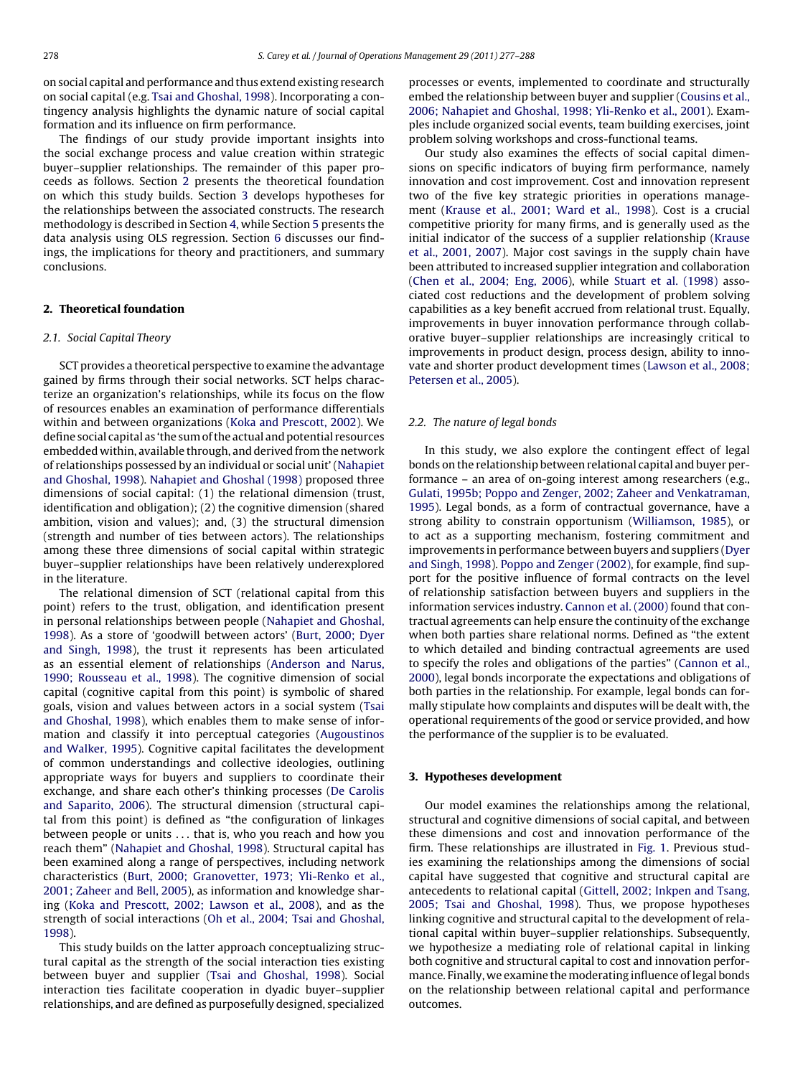on social capital and performance and thus extend existing research on social capital (e.g. [Tsai and Ghoshal, 1998\).](#page--1-0) Incorporating a contingency analysis highlights the dynamic nature of social capital formation and its influence on firm performance.

The findings of our study provide important insights into the social exchange process and value creation within strategic buyer–supplier relationships. The remainder of this paper proceeds as follows. Section 2 presents the theoretical foundation on which this study builds. Section 3 develops hypotheses for the relationships between the associated constructs. The research methodology is described in Section [4, w](#page--1-0)hile Section [5](#page--1-0) presents the data analysis using OLS regression. Section [6](#page--1-0) discusses our findings, the implications for theory and practitioners, and summary conclusions.

#### **2. Theoretical foundation**

#### 2.1. Social Capital Theory

SCT provides a theoretical perspective to examine the advantage gained by firms through their social networks. SCT helps characterize an organization's relationships, while its focus on the flow of resources enables an examination of performance differentials within and between organizations ([Koka and Prescott, 2002\).](#page--1-0) We define social capital as 'the sum of the actual and potential resources embedded within, available through, and derived from the network of relationships possessed by an individual or social unit' ([Nahapiet](#page--1-0) [and Ghoshal, 1998\).](#page--1-0) [Nahapiet and Ghoshal \(1998\)](#page--1-0) proposed three dimensions of social capital: (1) the relational dimension (trust, identification and obligation); (2) the cognitive dimension (shared ambition, vision and values); and, (3) the structural dimension (strength and number of ties between actors). The relationships among these three dimensions of social capital within strategic buyer–supplier relationships have been relatively underexplored in the literature.

The relational dimension of SCT (relational capital from this point) refers to the trust, obligation, and identification present in personal relationships between people ([Nahapiet and Ghoshal,](#page--1-0) [1998\).](#page--1-0) As a store of 'goodwill between actors' [\(Burt, 2000; Dyer](#page--1-0) [and Singh, 1998\),](#page--1-0) the trust it represents has been articulated as an essential element of relationships ([Anderson and Narus,](#page--1-0) [1990; Rousseau et al., 1998\).](#page--1-0) The cognitive dimension of social capital (cognitive capital from this point) is symbolic of shared goals, vision and values between actors in a social system [\(Tsai](#page--1-0) [and Ghoshal, 1998\),](#page--1-0) which enables them to make sense of information and classify it into perceptual categories [\(Augoustinos](#page--1-0) [and Walker, 1995\).](#page--1-0) Cognitive capital facilitates the development of common understandings and collective ideologies, outlining appropriate ways for buyers and suppliers to coordinate their exchange, and share each other's thinking processes ([De Carolis](#page--1-0) [and Saparito, 2006\).](#page--1-0) The structural dimension (structural capital from this point) is defined as "the configuration of linkages between people or units ... that is, who you reach and how you reach them" [\(Nahapiet and Ghoshal, 1998\).](#page--1-0) Structural capital has been examined along a range of perspectives, including network characteristics [\(Burt, 2000; Granovetter, 1973; Yli-Renko et al.,](#page--1-0) [2001; Zaheer and Bell, 2005\),](#page--1-0) as information and knowledge sharing ([Koka and Prescott, 2002; Lawson et al., 2008\),](#page--1-0) and as the strength of social interactions [\(Oh et al., 2004; Tsai and Ghoshal,](#page--1-0) [1998\).](#page--1-0)

This study builds on the latter approach conceptualizing structural capital as the strength of the social interaction ties existing between buyer and supplier [\(Tsai and Ghoshal, 1998\).](#page--1-0) Social interaction ties facilitate cooperation in dyadic buyer–supplier relationships, and are defined as purposefully designed, specialized

processes or events, implemented to coordinate and structurally embed the relationship between buyer and supplier ([Cousins et al.,](#page--1-0) [2006; Nahapiet and Ghoshal, 1998; Yli-Renko et al., 2001\).](#page--1-0) Examples include organized social events, team building exercises, joint problem solving workshops and cross-functional teams.

Our study also examines the effects of social capital dimensions on specific indicators of buying firm performance, namely innovation and cost improvement. Cost and innovation represent two of the five key strategic priorities in operations management [\(Krause et al., 2001; Ward et al., 1998\).](#page--1-0) Cost is a crucial competitive priority for many firms, and is generally used as the initial indicator of the success of a supplier relationship ([Krause](#page--1-0) [et al., 2001, 2007\).](#page--1-0) Major cost savings in the supply chain have been attributed to increased supplier integration and collaboration [\(Chen et al., 2004; Eng, 2006\),](#page--1-0) while [Stuart et al. \(1998\)](#page--1-0) associated cost reductions and the development of problem solving capabilities as a key benefit accrued from relational trust. Equally, improvements in buyer innovation performance through collaborative buyer–supplier relationships are increasingly critical to improvements in product design, process design, ability to innovate and shorter product development times [\(Lawson et al., 2008;](#page--1-0) [Petersen et al., 2005\).](#page--1-0)

#### 2.2. The nature of legal bonds

In this study, we also explore the contingent effect of legal bonds on the relationship between relational capital and buyer performance – an area of on-going interest among researchers (e.g., [Gulati, 1995b; Poppo and Zenger, 2002; Zaheer and Venkatraman,](#page--1-0) [1995\).](#page--1-0) Legal bonds, as a form of contractual governance, have a strong ability to constrain opportunism ([Williamson, 1985\),](#page--1-0) or to act as a supporting mechanism, fostering commitment and improvements in performance between buyers and suppliers ([Dyer](#page--1-0) [and Singh, 1998\).](#page--1-0) [Poppo and Zenger \(2002\), f](#page--1-0)or example, find support for the positive influence of formal contracts on the level of relationship satisfaction between buyers and suppliers in the information services industry. [Cannon et al. \(2000\)](#page--1-0) found that contractual agreements can help ensure the continuity of the exchange when both parties share relational norms. Defined as "the extent to which detailed and binding contractual agreements are used to specify the roles and obligations of the parties" [\(Cannon et al.,](#page--1-0) [2000\),](#page--1-0) legal bonds incorporate the expectations and obligations of both parties in the relationship. For example, legal bonds can formally stipulate how complaints and disputes will be dealt with, the operational requirements of the good or service provided, and how the performance of the supplier is to be evaluated.

#### **3. Hypotheses development**

Our model examines the relationships among the relational, structural and cognitive dimensions of social capital, and between these dimensions and cost and innovation performance of the firm. These relationships are illustrated in [Fig. 1.](#page--1-0) Previous studies examining the relationships among the dimensions of social capital have suggested that cognitive and structural capital are antecedents to relational capital [\(Gittell, 2002; Inkpen and Tsang,](#page--1-0) [2005; Tsai and Ghoshal, 1998\).](#page--1-0) Thus, we propose hypotheses linking cognitive and structural capital to the development of relational capital within buyer–supplier relationships. Subsequently, we hypothesize a mediating role of relational capital in linking both cognitive and structural capital to cost and innovation performance. Finally, we examine the moderating influence of legal bonds on the relationship between relational capital and performance outcomes.